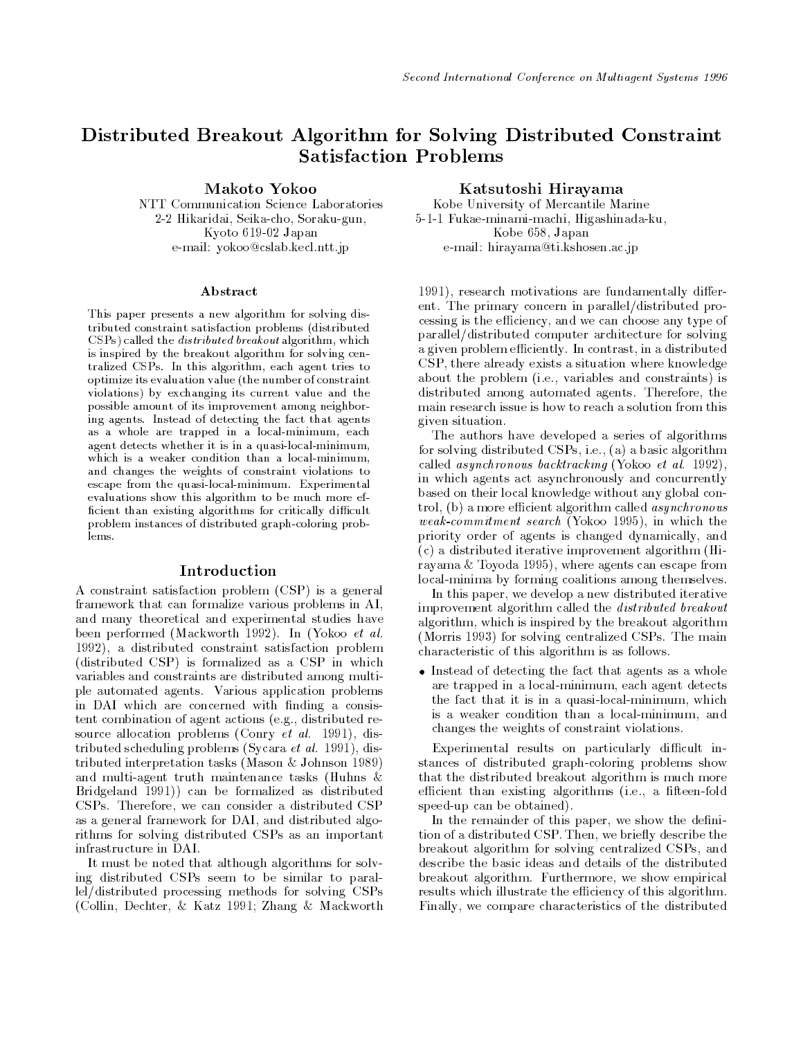# Distributed Breakout Algorithm for Solving Distributed Constraint **Satisfaction Problems**

Makoto Yokoo

NTT Communication Science Laboratories 2-2 Hikaridai, Seika-cho, Soraku-gun, Kyoto 619-02 Japan e-mail: yokoo@cslab.kecl.ntt.jp

#### A bstract

This paper presents a new algorithm for solving distributed constraint satisfaction problems (distributedCSPs) called the distributed breakout algorithm, which is inspired by the breakout algorithm for solving centralized CSPs. In this algorithm, each agent tries tooptimize its evaluation value (the number of constraintviolations) by exchanging its current value and thepossible amount of its improvement among neighboring agents. Instead of detecting the fact that agentsas a whole are trapped in a local-minimum, eachagent detects whether it is in a quasi-local-minimum,which is a weaker condition than a local-minimum,and changes the weights of constraint violations toescape from the quasi-local-minimum. Experimentalevaluations show this algorithm to be much more efficient than existing algorithms for critically difficult problem instances of distributed graph-coloring problems.

#### Introduction

A constraint satisfaction problem (CSP) is a general framework that can formalize various problems in AI, and many theoretical and experimental studies have been performed (Mackworth 1992). In (Yokoo et al. 1992), a distributed constraint satisfaction problem (distributed CSP) is formalized as a CSP in which variables and constraints are distributed among multiple automated agents. Various application problems in DAI which are concerned with finding a consistent combination of agent actions (e.g., distributed resource allocation problems (Conry  $et$  al. 1991), distributed scheduling problems (Sycara et al. 1991), distributed interpretation tasks (Mason & Johnson 1989) and multi-agent truth maintenance tasks (Huhns & Bridgeland 1991)) can be formalized as distributed CSPs. Therefore, we can consider a distributed CSP as a general framework for DAI, and distributed algorithms for solving distributed CSPs as an important infrastructure in DAI.

It must be noted that although algorithms for solving distributed CSPs seem to be similar to parallel/distributed processing methods for solving CSPs (Collin, Dechter, & Katz 1991; Zhang & Mackworth

#### Katsutoshi Hirayama

Kobe University of Mercantile Marine Kobe University of Mercantile Marine 5-1-1 Fukae-minami-machi, Higashinada-ku, Kobe 658, Japan e-mail: hirayama@ti.kshosen.ac.jp

1991), research motivations are fundamentally different. The primary concern in parallel/distributed processing is the efficiency, and we can choose any type of parallel/distributed computer architecture for solving a given problem efficiently. In contrast, in a distributed CSP, there already exists a situation where knowledge about the problem (i.e., variables and constraints) is distributed among automated agents. Therefore, the main research issue is how to reach a solution from this given situation.

The authors have developed a series of algorithms for solving distributed CSPs, i.e., (a) a basic algorithm called asynchronous backtracking (Yokoo et al. 1992), in which agents act asynchronously and concurrently based on their local knowledge without any global control, (b) a more efficient algorithm called  $asynchronous$ weak-commitment search (Yokoo 1995), in which the priority order of agents is changed dynamically, and (c) a distributed iterative improvement algorithm (Hirayama & Toyoda 1995), where agents can escape from local-minima by forming coalitions among themselves.

In this paper, we develop a new distributed iterative improvement algorithm called the distributed breakout algorithm, which is inspired by the breakout algorithm (Morris 1993) for solving centralized CSPs. The main characteristic of this algorithm is as follows.

 $\bullet$  Instead of detecting the fact that agents as a whole are trapped in a local-minimum, each agent detects the fact that it is in a quasi-local-minimum, which is a weaker condition than a local-minimum, and changes the weights of constraint violations.

Experimental results on particularly difficult instances of distributed graph-coloring problems show that the distributed breakout algorithm is much more efficient than existing algorithms (i.e., a fifteen-fold speed-up can be obtained).

In the remainder of this paper, we show the definition of a distributed CSP. Then, we briefly describe the breakout algorithm for solving centralized CSPs, and describe the basic ideas and details of the distributed breakout algorithm. Furthermore, we show empirical results which illustrate the efficiency of this algorithm. Finally, we compare characteristics of the distributed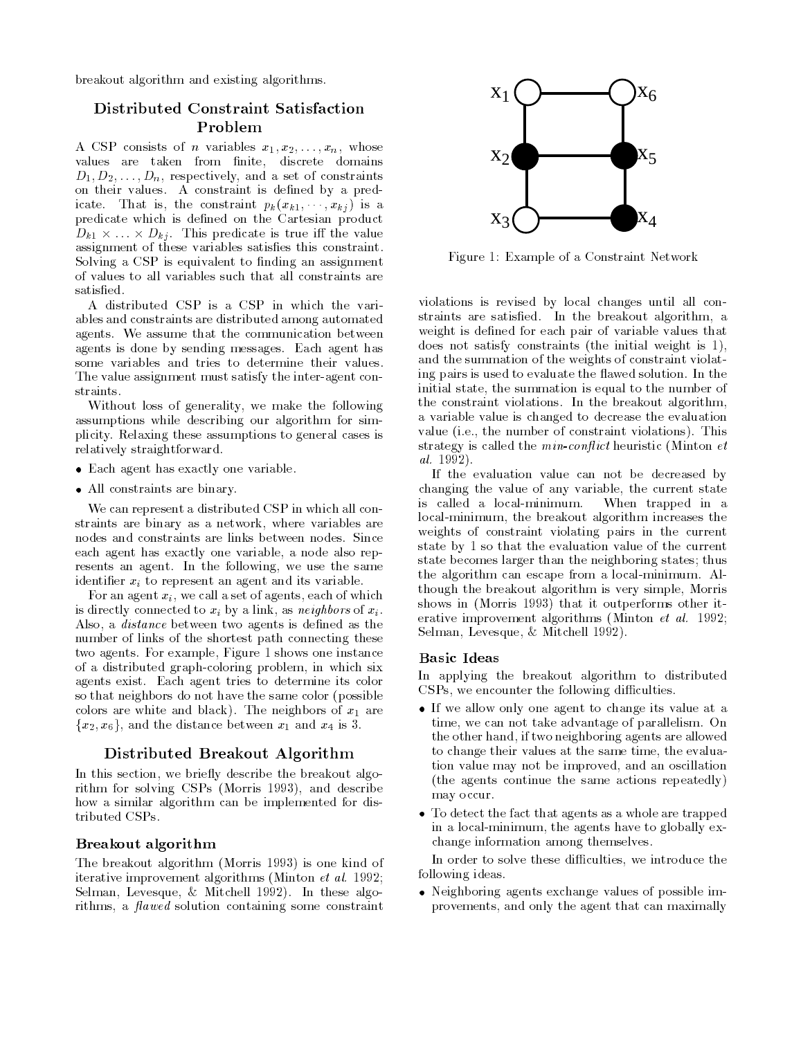breakout algorithm and existing algorithms.

## Distributed Constraint Satisfaction Problem

A CSP consists of *n* variables  $x_1, x_2, \ldots, x_n$ , whose values are taken from finite, discrete domains  $D_1, D_2, \ldots, D_n$ , respectively, and a set of constraints on their values. A constraint is defined by a predicate. That is, the constraint  $p_k(x_{k1}, \dots, x_{kj})$  is a predicate which is defined on the Cartesian product  $\alpha$  , is the state in the value in the value in the value is the value in the value in the value in  $\alpha$ assignment of these variables satisfies this constraint. Solving a CSP is equivalent to finding an assignment of values to all variables such that all constraints are

A distributed CSP is a CSP in which the variables and constraints are distributed among automated agents. We assume that the communication between agents is done by sending messages. Each agent has some variables and tries to determine their values. The value assignment must satisfy the inter-agent constraints.

Without loss of generality, we make the following assumptions while describing our algorithm for simplicity. Relaxing these assumptions to general cases is relatively straightforward.

- Each agent has exactly one variable.
- All constraints are binary.

We can represent a distributed CSP in which all constraints are binary as a network, where variables are nodes and constraints are links between nodes. Since each agent has exactly one variable, a node also represents an agent. In the following, we use the same identifier  $x_i$  to represent an agent and its variable.

For an agent  $x_i$ , we call a set of agents, each of which is directly connected to  $x_i$  by a link, as neighbors of  $x_i$ . Also, a *distance* between two agents is defined as the number of links of the shortest path connecting these two agents. For example, Figure 1 shows one instance of a distributed graph-coloring problem, in which six agents exist. Each agent tries to determine its color so that neighbors do not have the same color (possible colors are white and black). The neighbors of  $x_1$  are  ${x_2, x_6}$ , and the distance between  $x_1$  and  $x_4$  is 3.

#### Distributed Breakout Algorithm

In this section, we briefly describe the breakout algorithm for solving CSPs (Morris 1993), and describe how a similar algorithm can be implemented for distributed CSPs.

#### Breakout algorithm

The breakout algorithm (Morris 1993) is one kind of iterative improvement algorithms (Minton et al. 1992; Selman, Levesque, & Mitchell 1992). In these algorithms, a  $flawed$  solution containing some constraint



Figure 1: Example of a Constraint Network

violations is revised by local changes until all constraints are satisfied. In the breakout algorithm, a weight is defined for each pair of variable values that does not satisfy constraints (the initial weight is 1), and the summation of the weights of constraint violating pairs is used to evaluate the flawed solution. In the initial state, the summation is equal to the number of the constraint violations. In the breakout algorithm, a variable value is changed to decrease the evaluation value (i.e., the number of constraint violations). This strategy is called the  $min\text{-}conflict$  heuristic (Minton  $et$ al. 1992).

If the evaluation value can not be decreased by changing the value of any variable, the current state is called a local-minimum. When trapped in a local-minimum, the breakout algorithm increases the weights of constraint violating pairs in the current state by 1 so that the evaluation value of the current state becomes larger than the neighboring states; thus the algorithm can escape from a local-minimum. Although the breakout algorithm is very simple, Morris shows in (Morris 1993) that it outperforms other iterative improvement algorithms (Minton et al. 1992; Selman, Levesque, & Mitchell 1992).

#### **Basic Ideas**

In applying the breakout algorithm to distributed CSPs, we encounter the following difficulties.

- If we allow only one agent to change its value at a time, we can not take advantage of parallelism. On the other hand, if two neighboring agents are allowed to change their values at the same time, the evaluation value may not be improved, and an oscillation (the agents continue the same actions repeatedly) may occur.
- To detect the fact that agents as a whole are trapped in a local-minimum, the agents have to globally exchange information among themselves.

In order to solve these difficulties, we introduce the following ideas.

 Neighboring agents exchange values of possible improvements, and only the agent that can maximally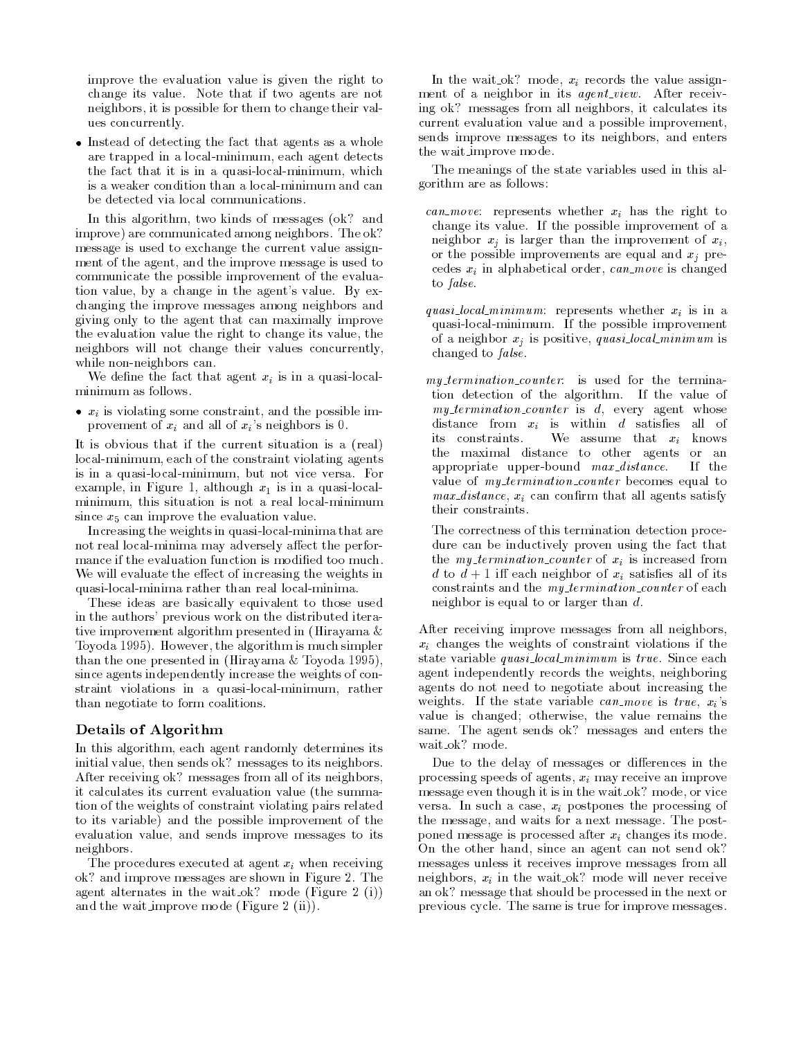improve the evaluation value is given the right to change its value. Note that if two agents are not neighbors, it is possible for them to change their values concurrently.

• Instead of detecting the fact that agents as a whole are trapped in a local-minimum, each agent detects the fact that it is in a quasi-local-minimum, which is a weaker condition than a local-minimum and can be detected via local communications.

In this algorithm, two kinds of messages (ok? and improve) are communicated among neighbors. The ok? message is used to exchange the current value assign ment of the agent, and the improve message is used to communicate the possible improvement of the evaluation value, by a change in the agent's value. By exchanging the improve messages among neighbors and giving only to the agent that can maximally improve the evaluation value the right to change its value, the neighbors will not change their values concurrently, while non-neighbors can.

We define the fact that agent  $x_i$  is in a quasi-localminimum as follows.

 $\bullet$   $x_i$  is violating some constraint, and the possible improvement of  $x_i$  and all of  $x_i$ 's neighbors is 0.

It is obvious that if the current situation is a (real) local-minimum, each of the constraint violating agents is in a quasi-local-minimum, but not vice versa. For example, in Figure 1, although  $x_1$  is in a quasi-localminimum, this situation is not a real local-minimum since  $x_5$  can improve the evaluation value.

Increasing the weights in quasi-local-minima that are not real local-minima may adversely affect the performance if the evaluation function is modified too much. We will evaluate the effect of increasing the weights in quasi-local-minima rather than real local-minima.

These ideas are basically equivalent to those used in the authors' previous work on the distributed iterative improvement algorithm presented in (Hirayama & Toyoda 1995). However, the algorithm is much simpler than the one presented in (Hirayama & Toyoda 1995), since agents independently increase the weights of constraint violations in a quasi-local-minimum, rather than negotiate to form coalitions.

#### Details of Algorithm

In this algorithm, each agent randomly determines its initial value, then sends ok? messages to its neighbors. After receiving ok? messages from all of its neighbors, it calculates its current evaluation value (the summation of the weights of constraint violating pairs related to its variable) and the possible improvement of the evaluation value, and sends improve messages to its neighbors.

The procedures executed at agent  $x_i$  when receiving ok? and improve messages are shown in Figure 2. The agent alternates in the wait ok? mode (Figure 2 (i)) and the wait improve mode (Figure 2 (ii)).

In the wait ok? mode,  $x_i$  records the value assignment of a neighbor in its *agent\_view*. After receiving ok? messages from all neighbors, it calculates its current evaluation value and a possible improvement, sends improve messages to its neighbors, and enters the wait improve mode.

The meanings of the state variables used in this algorithm are as follows:

*can move*: represents whether  $x_i$  has the right to change its value. If the possible improvement of a neighbor  $x_j$  is larger than the improvement of  $x_i$ , or the possible improvements are equal and  $x_i$  precedes  $x_i$  in alphabetical order, can move is changed to false.

quasi\_local\_minimum: represents whether  $x_i$  is in a quasi-local-minimum. If the possible improvement of a neighbor  $x_j$  is positive, quasi-local minimum is changed to false.

 $my_t$  termination counter: is used for the termination detection of the algorithm. If the value of  $my_t$ termination\_counter is  $d$ , every agent whose distance from  $x_i$  is within  $d$  satisfies all of its constraints. We assume that  $x_i$  knows the maximal distance to other agents or an appropriate upper-bound max distance. If the value of  $my_t$ termination counter becomes equal to  $max\_distance, x_i$  can confirm that all agents satisfy their constraints.

The correctness of this termination detection procedure can be inductively proven using the fact that the *my\_termination\_counter* of  $x_i$  is increased from d to  $d+1$  iff each neighbor of  $x_i$  satisfies all of its constraints and the *my\_termination\_counter* of each neighbor is equal to or larger than d.

After receiving improve messages from all neighbors,  $x_i$  changes the weights of constraint violations if the state variable quasi local minimum is true. Since each agent independently records the weights, neighboring agents do not need to negotiate about increasing the weights. If the state variable can move is true,  $x_i$ 's value is changed; otherwise, the value remains the same. The agent sends ok? messages and enters the

Due to the delay of messages or differences in the processing speeds of agents,  $x_i$  may receive an improve message even though it is in the wait ok? mode, or vice versa. In such a case,  $x_i$  postpones the processing of the message, and waits for a next message. The postponed message is processed after  $x_i$  changes its mode. On the other hand, since an agent can not send ok? messages unless it receives improve messages from all neighbors,  $x_i$  in the wait ok? mode will never receive an ok? message that should be processed in the next or previous cycle. The same is true for improve messages.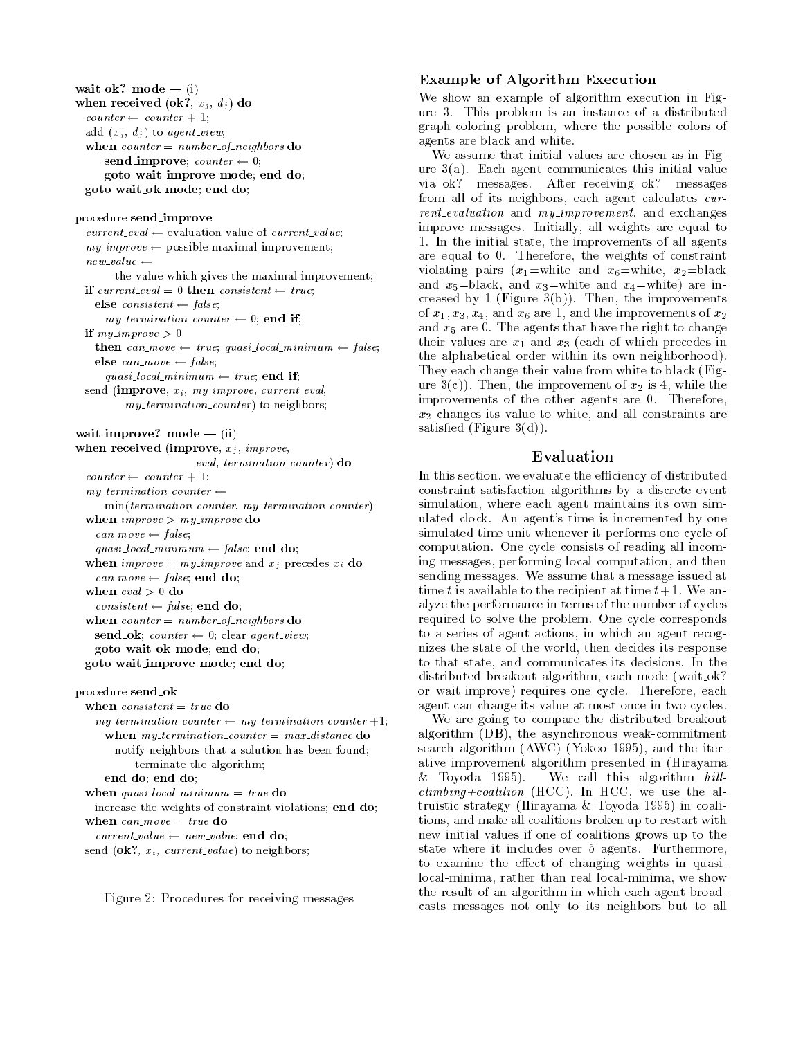wait ok. mode  $=$   $(1)$ when received  $(\mathbf{0}, \mathbf{k}; x_i, u_i)$  do  $counter \leftarrow counter + 1;$ add  $(x_j, d_j)$  to agent view; when counter and number of network of the co send improve; counter 0; goto wait improve mode; end do; goto wait ok mode; end do;

procedure send improve

 $current\_eval \leftarrow$  evaluation value of current value;  $mu\_improve \leftarrow$  possible maximal improvement; new value the value which gives the maximal improvement;if current eval  $=$  0 then consistent  $\leftarrow$  true; else consistent false;  $mu\_termin$  and counter  $\leftarrow$  0; end if; if my improve <sup>&</sup>gt; <sup>0</sup> the can move truck amount compliant in the state of the state of the state of the state of the state of the st else can move false;quasi local minimum  $\equiv$  true; end if; send (improve,  $x_i$ ,  $my\_improve$ , current\_eval, my\_termination\_counter) to neighbors;

wait improve:  $\text{move} = (\text{ii})$ when received (improve,  $x_j$ , *improve*, eval, termination counter) do  $counter \leftarrow counter + 1;$ my termination counters.

min(termination counter, my termination counter) when  $\cdots$  is the improved the contract of  $\cdots$ can move false;  $quasi$  local minimum  $\leftarrow$  false; end do;

when improve  $\frac{m}{2}$  improve and  $\frac{m}{2}$  precedes  $\frac{m}{2}$  do

 $\epsilon$ *an move*  $=$  *raise*; end do;  $\mathbf{u}$  and  $\mathbf{u}$  and  $\mathbf{v}$  and  $\mathbf{v}$  $consisten \leftarrow false$ ; end do;

when counter anumber of neughbors do  $\mathbf{send}_\mathbf{C}$  . counter  $\leftarrow$  <code>u</code>; clear agent\_view; goto wait ok mode; end do;

goto wait improve mode; end do;

```
procedure send okwhen consistent and do
   m_{\rm V} termination counter m_{\rm V} and termination counter +1;
     when my termination counter — max distance do
      notify neighbors that a solution has been found;terminate the algorithm;end do; end do;
 when yww.cocal minimum and do
   increase the weights of constraint violations; end do;
 when can move and can move
```
 $current\_value \leftarrow new\_value$ , end do;

send (OK:,  $x_i$ , current value) to neighbors;



#### Example of Algorithm Execution

We show an example of algorithm execution in Figure 3. This problem is an instance of a distributed graph-coloring problem, where the possible colors of agents are black and white.

We assume that initial values are chosen as in Figure 3(a). Each agent communicates this initial value via ok? messages. After receiving ok? messages from all of its neighbors, each agent calculates current evaluation and my improvement, and exchanges improve messages. Initially, all weights are equal to 1. In the initial state, the improvements of all agents are equal to 0. Therefore, the weights of constraint violating pairs  $(x_1=$ white and  $x_6=$ white,  $x_2=$ black and  $x_5 = \text{black}$ , and  $x_3 = \text{white}$  and  $x_4 = \text{white}$  are increased by 1 (Figure 3(b)). Then, the improvements of  $x_1, x_3, x_4$ , and  $x_6$  are 1, and the improvements of  $x_2$ and  $x_5$  are 0. The agents that have the right to change their values are  $x_1$  and  $x_3$  (each of which precedes in the alphabetical order within its own neighborhood). They each change their value from white to black (Figure  $3(c)$ ). Then, the improvement of  $x_2$  is 4, while the improvements of the other agents are 0. Therefore,  $x_2$  changes its value to white, and all constraints are satisfied (Figure  $3(d)$ ).

### Evaluation

In this section, we evaluate the efficiency of distributed constraint satisfaction algorithms by a discrete event simulation, where each agent maintains its own simulated clock. An agent's time is incremented by one simulated time unit whenever it performs one cycle of computation. One cycle consists of reading all incoming messages, performing local computation, and then sending messages. We assume that a message issued at time t is available to the recipient at time  $t+1$ . We analyze the performance in terms of the number of cycles required to solve the problem. One cycle corresponds to a series of agent actions, in which an agent recognizes the state of the world, then decides its response to that state, and communicates its decisions. In the distributed breakout algorithm, each mode (wait ok? or wait improve) requires one cycle. Therefore, each agent can change its value at most once in two cycles.

We are going to compare the distributed breakout algorithm (DB), the asynchronous weak-commitment search algorithm (AWC) (Yokoo 1995), and the iterative improvement algorithm presented in (Hirayama & Toyoda 1995). We call this algorithm  $hill$  $climbing + coalition$  (HCC). In HCC, we use the altruistic strategy (Hirayama & Toyoda 1995) in coalitions, and make all coalitions broken up to restart with new initial values if one of coalitions grows up to the state where it includes over 5 agents. Furthermore, to examine the effect of changing weights in quasilocal-minima, rather than real local-minima, we show the result of an algorithm in which each agent broadcasts messages not only to its neighbors but to all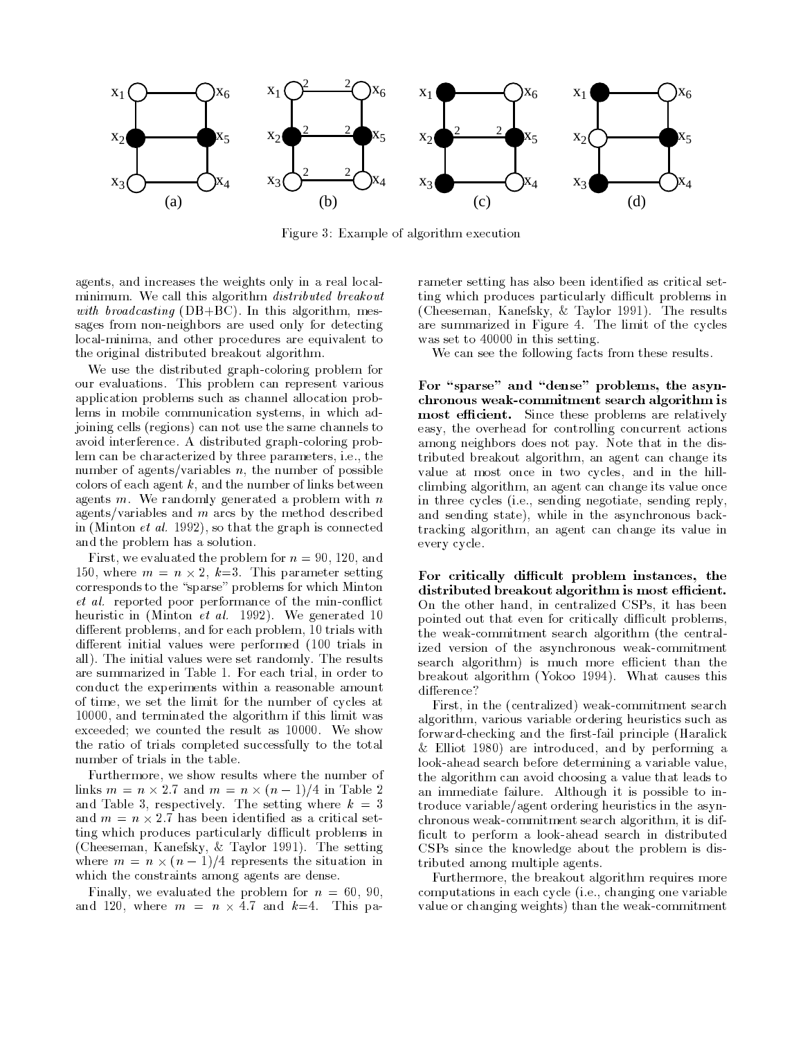

Figure 3: Example of algorithm execution

agents, and increases the weights only in a real localminimum. We call this algorithm distributed breakout with broadcasting  $(DB+BC)$ . In this algorithm, messages from non-neighbors are used only for detecting local-minima, and other procedures are equivalent to the original distributed breakout algorithm.

We use the distributed graph-coloring problem for our evaluations. This problem can represent various application problems such as channel allocation problems in mobile communication systems, in which adjoining cells (regions) can not use the same channels to avoid interference. A distributed graph-coloring problem can be characterized by three parameters, i.e., the number of agents/variables  $n$ , the number of possible colors of each agent  $k$ , and the number of links between agents  $m$ . We randomly generated a problem with  $n$ agents/variables and  $m$  arcs by the method described in (Minton *et al.* 1992), so that the graph is connected and the problem has a solution.

First, we evaluated the problem for  $n = 90, 120,$  and 150, where <sup>m</sup> <sup>=</sup> <sup>n</sup> - 2, k=3. This parameter setting corresponds to the "sparse" problems for which Minton et al. reported poor performance of the min-con
ict heuristic in (Minton *et al.* 1992). We generated 10 different problems, and for each problem, 10 trials with different initial values were performed (100 trials in all). The initial values were set randomly. The results are summarized in Table 1. For each trial, in order to conduct the experiments within a reasonable amount of time, we set the limit for the number of cycles at 10000, and terminated the algorithm if this limit was exceeded; we counted the result as 10000. We show the ratio of trials completed successfully to the total number of trials in the table.

Furthermore, we show results where the number of links <sup>m</sup> <sup>=</sup> <sup>n</sup> - 2:7 and <sup>m</sup> <sup>=</sup> <sup>n</sup> - (n 1)=4 in Table 2 and Table 3, respectively. The setting where  $k = 3$ ting which produces particularly difficult problems in (Cheeseman, Kanefsky,&Taylor 1991). The setting where <sup>m</sup> <sup>=</sup> <sup>n</sup> - (<sup>n</sup> 1)=4 represents the situation in which the constraints among agents are dense.

Finally, we evaluated the problem for  $n = 60, 90,$ and 120, where m and the metal metal contract and the second state of the second state of the second state of rameter setting has also been identified as critical setting which produces particularly difficult problems in (Cheeseman, Kanefsky,&Taylor 1991). The results are summarized in Figure 4. The limit of the cycles was set to 40000 in this setting.

We can see the following facts from these results.

For "sparse" and "dense" problems, the asynchronous weak-commitment search algorithm is most efficient. Since these problems are relatively easy, the overhead for controlling concurrent actions among neighbors does not pay. Note that in the distributed breakout algorithm, an agent can change its value at most once in two cycles, and in the hillclimbing algorithm, an agent can change its value once in three cycles (i.e., sending negotiate, sending reply, and sending state), while in the asynchronous backtracking algorithm, an agent can change its value in every cycle.

For critically difficult problem instances, the distributed breakout algorithm is most efficient. On the other hand, in centralized CSPs, it has been pointed out that even for critically difficult problems, the weak-commitment search algorithm (the centralized version of the asynchronous weak-commitment search algorithm) is much more efficient than the breakout algorithm (Yokoo 1994). What causes this difference?

First, in the (centralized) weak-commitment search algorithm, various variable ordering heuristics such as forward-checking and the first-fail principle (Haralick & Elliot 1980) are introduced, and by performing a look-ahead search before determining a variable value, the algorithm can avoid choosing a value that leads to an immediate failure. Although it is possible to introduce variable/agent ordering heuristics in the asynchronous weak-commitment search algorithm, it is dif ficult to perform a look-ahead search in distributed CSPs since the knowledge about the problem is distributed among multiple agents.

Furthermore, the breakout algorithm requires more computations in each cycle (i.e., changing one variable value or changing weights) than the weak-commitment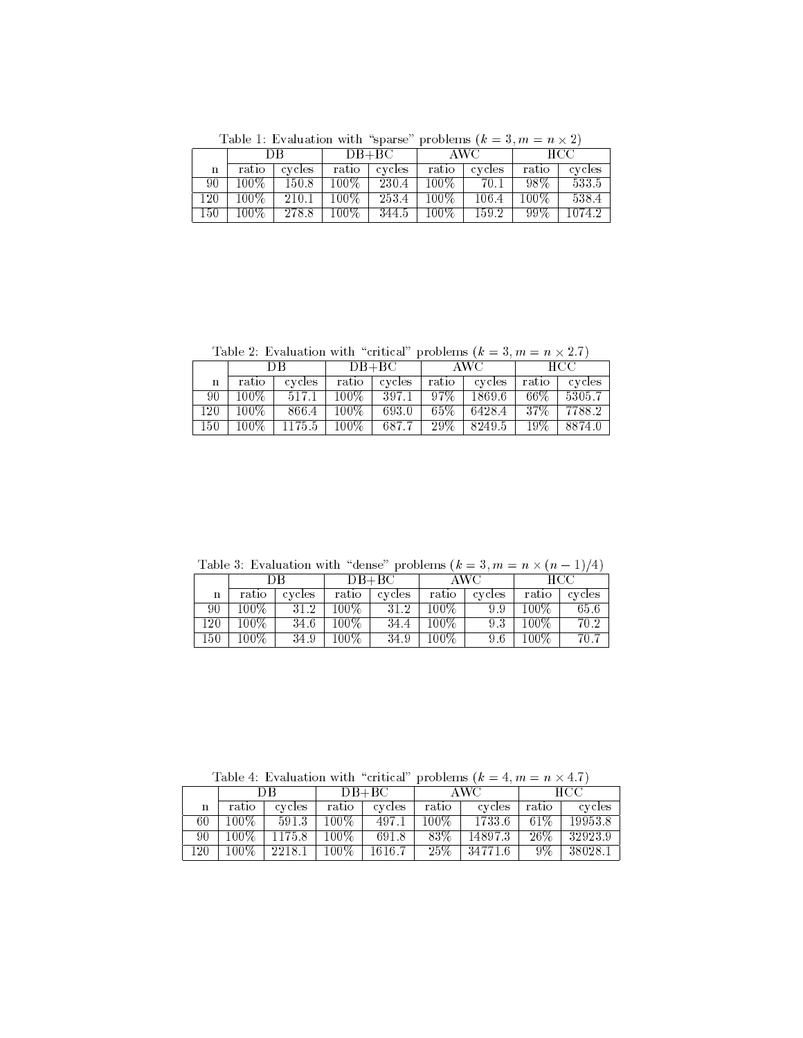|     | DВ      |        | $DB+BC$   |          | AWC.    |        | - HCC      |        |
|-----|---------|--------|-----------|----------|---------|--------|------------|--------|
| n   | ratio   | cycles | ratio     | l cycles | ratio   | cycles | ratio      | cycles |
| 90  | $100\%$ | 150.8  | $100\%$ . | 230.4    | $100\%$ | 70.1   | 98%.       | 533.5  |
| 120 | $100\%$ | 210.1  | $100\%$   | 253.4    | $100\%$ | 106.4  | $+100\%$ + | 538.4  |
| 150 | $100\%$ | 278.8  | $100\%$   | 344.5    | 100\%   | 159.2  | 99%        | 1074.2 |

 $\frac{1}{2}$   $\frac{1}{2}$   $\frac{1}{2}$   $\frac{1}{2}$   $\frac{1}{2}$   $\frac{1}{2}$   $\frac{1}{2}$   $\frac{1}{2}$   $\frac{1}{2}$   $\frac{1}{2}$   $\frac{1}{2}$   $\frac{1}{2}$   $\frac{1}{2}$   $\frac{1}{2}$   $\frac{1}{2}$   $\frac{1}{2}$   $\frac{1}{2}$   $\frac{1}{2}$   $\frac{1}{2}$   $\frac{1}{2}$   $\frac{1}{2}$   $\frac{1}{2}$ 

 $T$  and  $T$   $\sim$   $T$   $\sim$   $T$   $\sim$   $T$   $\sim$   $T$   $\sim$   $T$   $\sim$   $T$   $\sim$   $T$   $\sim$   $T$   $\sim$   $T$   $\sim$   $T$   $\sim$   $T$   $\sim$   $T$   $\sim$   $T$   $\sim$   $T$   $\sim$   $T$   $\sim$   $T$   $\sim$   $T$   $\sim$   $T$   $\sim$   $T$   $\sim$   $T$   $\sim$   $T$   $\sim$   $T$   $\sim$   $T$   $\$ 

|         | DВ      |        | $DB+BC$ |        | - AWC - |        | - HCC |               |
|---------|---------|--------|---------|--------|---------|--------|-------|---------------|
| n       | ratio   | cycles | ratio   | cycles | . ratio | cycles | ratio | cycles        |
| 90-     | $100\%$ | 517.1  | $100\%$ | 397.1  | 97%     | 1869.6 | 66%   | 15305.7       |
| $120 -$ | $100\%$ | 866.4  | $100\%$ | 693.0  | 65%     | 6428.4 |       | 37\%   7788.2 |
| 150     | 100%    | 1175.5 | $100\%$ | 687.7  | -29%    | 8249.5 | 19%   | 8874.0        |

 $T$ able 3: Evaluation with dense problems (k =  $\frac{1}{2}$ ; n =  $\frac{1}{2}$ ;  $\frac{1}{2}$ 

|        | DB      |        | $DB+BC$ |        | AWC     |        | HCC     |        |
|--------|---------|--------|---------|--------|---------|--------|---------|--------|
| n      | ratio   | cycles | ratio   | cycles | ratio   | cycles | ratio   | cycles |
| 90     | $100\%$ | 31.2   | $100\%$ | 31.2   | 100%    | 9.9    | $100\%$ | 65.6   |
| l 20   | $100\%$ | 34.6   | 100\%   | 34.4   | $100\%$ | 9.3    | 100\%   | 70.2   |
| $150-$ | $100\%$ | 34.9   | $100\%$ | 34.9   | $100\%$ | 9.6    | $100\%$ | 70.7   |

 $\text{Two}[n] = \text{A}, \text{A}, \text{A}, \text{A}$ 

|     | DВ      |        | $DB+BC$ |        | AWC     |         | HCC.  |         |
|-----|---------|--------|---------|--------|---------|---------|-------|---------|
| n   | ratio   | cycles | ratio   | cycles | ratio   | cycles  | ratio | cycles  |
| 60. | $100\%$ | 591.3  | $100\%$ | 497.1  | $100\%$ | 1733.6  | 61\%  | 19953.8 |
| 90. | 100\%   | 1175.8 | 100%    | 691.8  | 83%     | 14897.3 | 26%   | 32923.9 |
| 120 | $100\%$ | 2218.1 | $100\%$ | 1616.7 | 25%     | 34771.6 | .9%   | 38028.1 |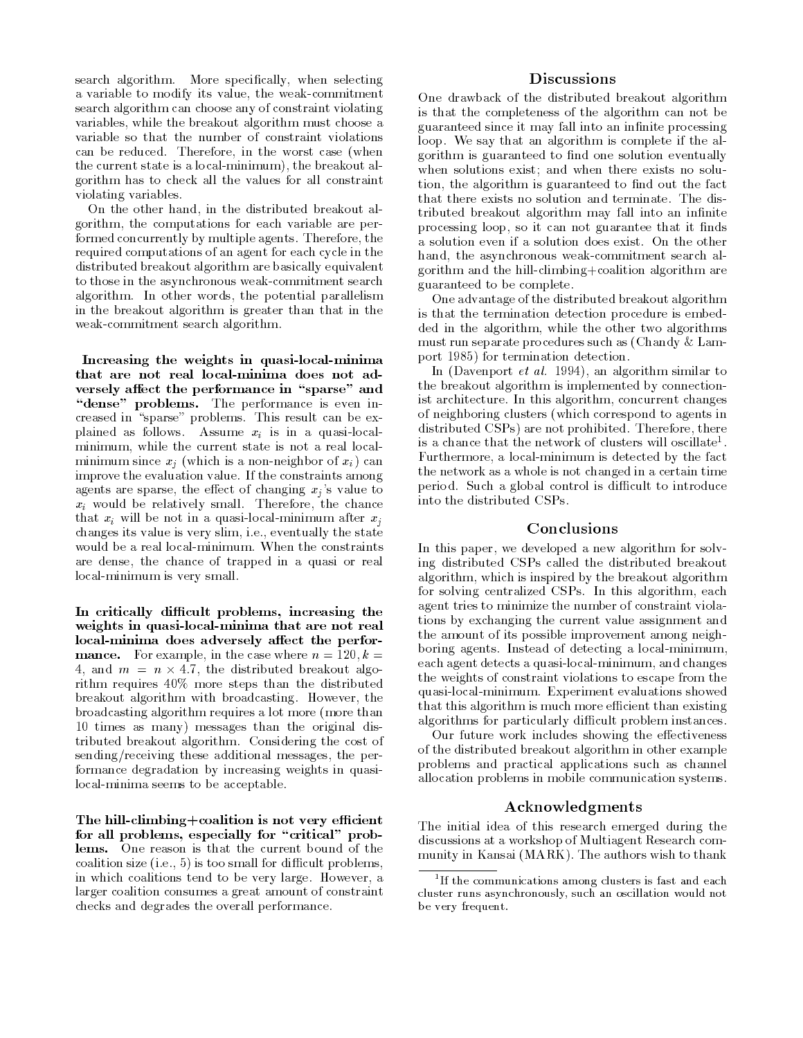search algorithm. More specifically, when selecting a variable to modify its value, the weak-commitment search algorithm can choose any of constraint violating variables, while the breakout algorithm must choose a variable so that the number of constraint violations can be reduced. Therefore, in the worst case (when the current state is a local-minimum), the breakout algorithm has to check all the values for all constraint violating variables.

On the other hand, in the distributed breakout algorithm, the computations for each variable are performed concurrently by multiple agents. Therefore, the required computations of an agent for each cycle in the distributed breakout algorithm are basically equivalent to those in the asynchronous weak-commitment search algorithm. In other words, the potential parallelism in the breakout algorithm is greater than that in the weak-commitment search algorithm.

Increasing the weights in quasi-local-minima that are not real local-minima does not ad versely affect the performance in "sparse" and "dense" problems. The performance is even increased in "sparse" problems. This result can be explained as follows. Assume  $x_i$  is in a quasi-localminimum, while the current state is not a real localminimum since  $x_j$  (which is a non-neighbor of  $x_i$ ) can improve the evaluation value. If the constraints among agents are sparse, the effect of changing  $x_i$ 's value to  $x_i$  would be relatively small. Therefore, the chance that  $x_i$  will be not in a quasi-local-minimum after  $x_i$ changes its value is very slim, i.e., eventually the state would be a real local-minimum. When the constraints are dense, the chance of trapped in a quasi or real local-minimum is very small.

In critically difficult problems, increasing the weights in quasi-local-minima that are not real local-minima does adversely affect the perfor**mance.** For example, in the case where  $n = 120, k =$  $\mathcal{A}$ , and  $\mathcal{A}$  . The distribution of the distribution of  $\mathcal{A}$  . rithm requires 40% more steps than the distributed breakout algorithm with broadcasting. However, the broadcasting algorithm requires a lot more (more than 10 times as many) messages than the original distributed breakout algorithm. Considering the cost of sending/receiving these additional messages, the performance degradation by increasing weights in quasilocal-minima seems to be acceptable.

The hill-climbing+coalition is not very efficient for all problems, especially for "critical" problems. One reason is that the current bound of the coalition size  $(i.e., 5)$  is too small for difficult problems, in which coalitions tend to be very large. However, a larger coalition consumes a great amount of constraint checks and degrades the overall performance.

### Discussions

One drawback of the distributed breakout algorithm is that the completeness of the algorithm can not be guaranteed since it may fall into an infinite processing loop. We say that an algorithm is complete if the algorithm is guaranteed to find one solution eventually when solutions exist; and when there exists no solution, the algorithm is guaranteed to find out the fact that there exists no solution and terminate. The distributed breakout algorithm may fall into an infinite processing loop, so it can not guarantee that it finds a solution even if a solution does exist. On the other hand, the asynchronous weak-commitment search algorithm and the hill-climbing+coalition algorithm are guaranteed to be complete.

One advantage of the distributed breakout algorithm is that the termination detection procedure is embedded in the algorithm, while the other two algorithms must run separate procedures such as (Chandy & Lamport 1985) for termination detection. port 1985) for the 1985 for termination detection. The 1985 for the 1985 for the 1985 for the 1985 for the 198

In (Davenport et al. 1994), an algorithm similar to the breakout algorithm is implemented by connectionist architecture. In this algorithm, concurrent changes of neighboring clusters (which correspond to agents in distributed CSPs) are not prohibited. Therefore, there is a chance that the network of clusters will oscillate<sup>1</sup>. Furthermore, a local-minimum is detected by the fact the network as a whole is not changed in a certain time period. Such a global control is difficult to introduce into the distributed CSPs.

#### Conclusions

In this paper, we developed a new algorithm for solving distributed CSPs called the distributed breakout algorithm, which is inspired by the breakout algorithm for solving centralized CSPs. In this algorithm, each agent tries to minimize the number of constraint violations by exchanging the current value assignment and the amount of its possible improvement among neighboring agents. Instead of detecting a local-minimum, each agent detects a quasi-local-minimum, and changes the weights of constraint violations to escape from the quasi-local-minimum. Experiment evaluations showed that this algorithm is much more efficient than existing algorithms for particularly difficult problem instances.

Our future work includes showing the effectiveness of the distributed breakout algorithm in other example problems and practical applications such as channel allocation problems in mobile communication systems.

### Acknowledgments

The initial idea of this research emerged during the discussions at a workshop of Multiagent Research community in Kansai (MARK). The authors wish to thank

<sup>1</sup> If the communications among clusters is fast and eachcluster runs asynchronously, such an oscillation would notbe very frequent.